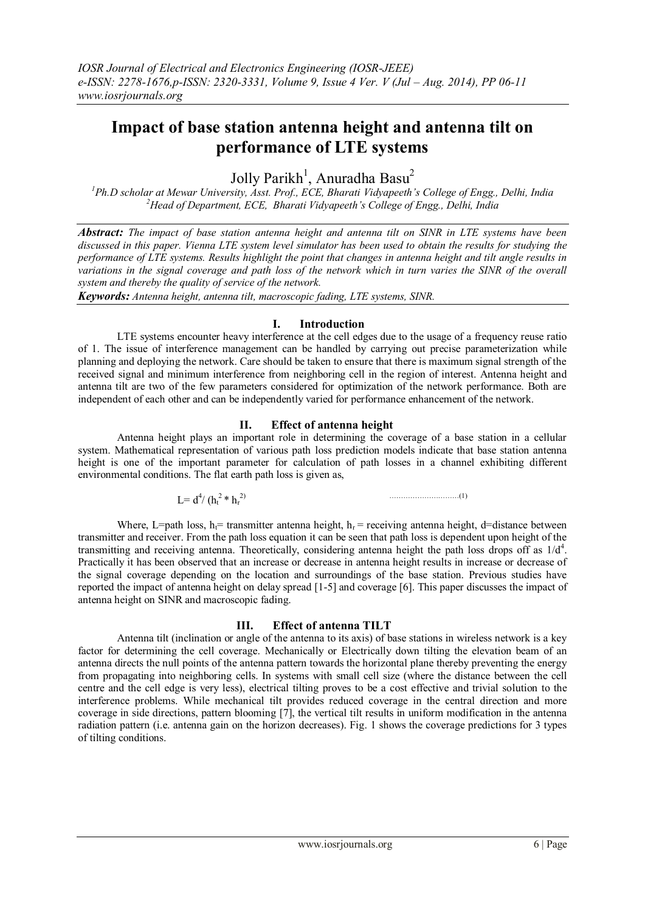# **Impact of base station antenna height and antenna tilt on performance of LTE systems**

Jolly Parikh<sup>1</sup>, Anuradha Basu<sup>2</sup>

*<sup>1</sup>Ph.D scholar at Mewar University, Asst. Prof., ECE, Bharati Vidyapeeth's College of Engg., Delhi, India <sup>2</sup>Head of Department, ECE, Bharati Vidyapeeth's College of Engg., Delhi, India*

*Abstract: The impact of base station antenna height and antenna tilt on SINR in LTE systems have been discussed in this paper. Vienna LTE system level simulator has been used to obtain the results for studying the performance of LTE systems. Results highlight the point that changes in antenna height and tilt angle results in variations in the signal coverage and path loss of the network which in turn varies the SINR of the overall system and thereby the quality of service of the network.*

*Keywords: Antenna height, antenna tilt, macroscopic fading, LTE systems, SINR.*

#### **I. Introduction**

LTE systems encounter heavy interference at the cell edges due to the usage of a frequency reuse ratio of 1. The issue of interference management can be handled by carrying out precise parameterization while planning and deploying the network. Care should be taken to ensure that there is maximum signal strength of the received signal and minimum interference from neighboring cell in the region of interest. Antenna height and antenna tilt are two of the few parameters considered for optimization of the network performance. Both are independent of each other and can be independently varied for performance enhancement of the network.

## **II. Effect of antenna height**

Antenna height plays an important role in determining the coverage of a base station in a cellular system. Mathematical representation of various path loss prediction models indicate that base station antenna height is one of the important parameter for calculation of path losses in a channel exhibiting different environmental conditions. The flat earth path loss is given as,

$$
L = d^4 / (h_t^2 * h_r^2)
$$

 $\mathbf{a}$  )  $\mathbf{a}$  (1)

Where, L=path loss, h<sub>i</sub>= transmitter antenna height, h<sub>i</sub>= receiving antenna height, d=distance between transmitter and receiver. From the path loss equation it can be seen that path loss is dependent upon height of the transmitting and receiving antenna. Theoretically, considering antenna height the path loss drops off as  $1/d<sup>4</sup>$ . Practically it has been observed that an increase or decrease in antenna height results in increase or decrease of the signal coverage depending on the location and surroundings of the base station. Previous studies have reported the impact of antenna height on delay spread [1-5] and coverage [6]. This paper discusses the impact of antenna height on SINR and macroscopic fading.

#### **III. Effect of antenna TILT**

Antenna tilt (inclination or angle of the antenna to its axis) of base stations in wireless network is a key factor for determining the cell coverage. Mechanically or Electrically down tilting the elevation beam of an antenna directs the null points of the antenna pattern towards the horizontal plane thereby preventing the energy from propagating into neighboring cells. In systems with small cell size (where the distance between the cell centre and the cell edge is very less), electrical tilting proves to be a cost effective and trivial solution to the interference problems. While mechanical tilt provides reduced coverage in the central direction and more coverage in side directions, pattern blooming [7], the vertical tilt results in uniform modification in the antenna radiation pattern (i.e. antenna gain on the horizon decreases). Fig. 1 shows the coverage predictions for 3 types of tilting conditions.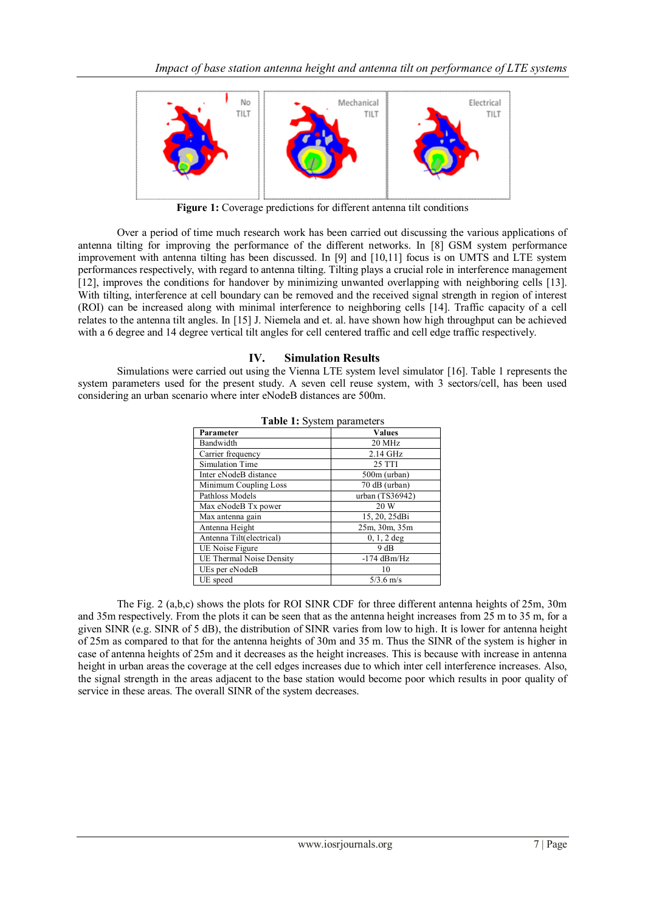

**Figure 1:** Coverage predictions for different antenna tilt conditions

Over a period of time much research work has been carried out discussing the various applications of antenna tilting for improving the performance of the different networks. In [8] GSM system performance improvement with antenna tilting has been discussed. In [9] and [10,11] focus is on UMTS and LTE system performances respectively, with regard to antenna tilting. Tilting plays a crucial role in interference management [12], improves the conditions for handover by minimizing unwanted overlapping with neighboring cells [13]. With tilting, interference at cell boundary can be removed and the received signal strength in region of interest (ROI) can be increased along with minimal interference to neighboring cells [14]. Traffic capacity of a cell relates to the antenna tilt angles. In [15] J. Niemela and et. al. have shown how high throughput can be achieved with a 6 degree and 14 degree vertical tilt angles for cell centered traffic and cell edge traffic respectively.

### **IV. Simulation Results**

Simulations were carried out using the Vienna LTE system level simulator [16]. Table 1 represents the system parameters used for the present study. A seven cell reuse system, with 3 sectors/cell, has been used considering an urban scenario where inter eNodeB distances are 500m.

| <b>rapic 1.</b> Dystem parameters |                 |  |
|-----------------------------------|-----------------|--|
| Parameter                         | <b>Values</b>   |  |
| Bandwidth                         | 20 MHz          |  |
| Carrier frequency                 | 2.14 GHz        |  |
| Simulation Time                   | 25 TTI          |  |
| Inter eNodeB distance             | 500m (urban)    |  |
| Minimum Coupling Loss             | 70 dB (urban)   |  |
| Pathloss Models                   | urban (TS36942) |  |
| Max eNodeB Tx power               | 20 W            |  |
| Max antenna gain                  | 15, 20, 25dBi   |  |
| Antenna Height                    | 25m, 30m, 35m   |  |
| Antenna Tilt(electrical)          | $0, 1, 2$ deg   |  |
| UE Noise Figure                   | 9 dB            |  |
| UE Thermal Noise Density          | $-174$ dBm/Hz   |  |
| UEs per eNodeB                    | 10              |  |
| UE speed                          | $5/3.6$ m/s     |  |

|  | Table 1: System parameters |
|--|----------------------------|
|  |                            |

The Fig. 2 (a,b,c) shows the plots for ROI SINR CDF for three different antenna heights of 25m, 30m and 35m respectively. From the plots it can be seen that as the antenna height increases from  $2\overline{5}$  m to 35 m, for a given SINR (e.g. SINR of 5 dB), the distribution of SINR varies from low to high. It is lower for antenna height of 25m as compared to that for the antenna heights of 30m and 35 m. Thus the SINR of the system is higher in case of antenna heights of 25m and it decreases as the height increases. This is because with increase in antenna height in urban areas the coverage at the cell edges increases due to which inter cell interference increases. Also, the signal strength in the areas adjacent to the base station would become poor which results in poor quality of service in these areas. The overall SINR of the system decreases.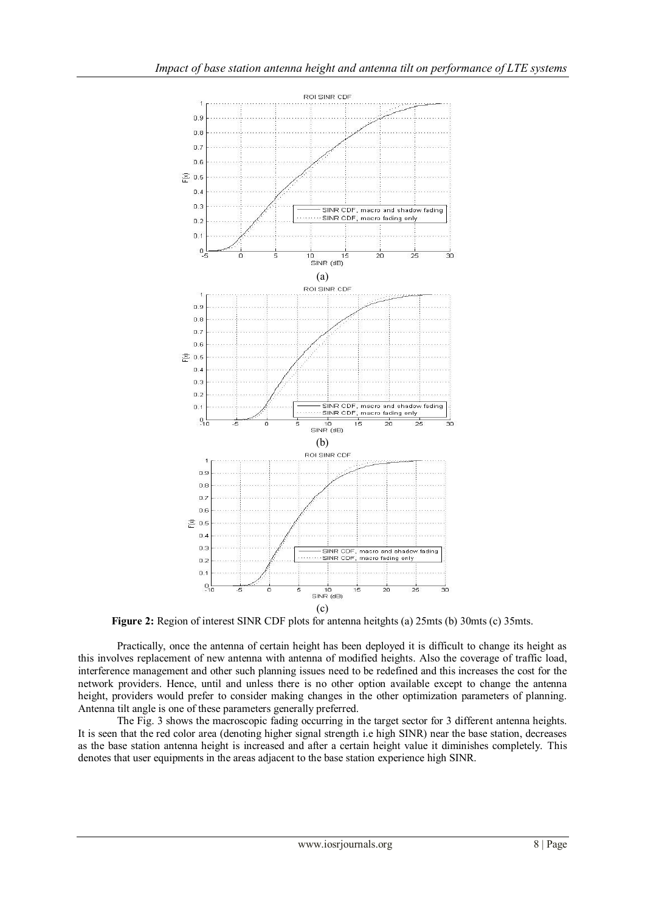

**Figure 2:** Region of interest SINR CDF plots for antenna heitghts (a) 25mts (b) 30mts (c) 35mts.

Practically, once the antenna of certain height has been deployed it is difficult to change its height as this involves replacement of new antenna with antenna of modified heights. Also the coverage of traffic load, interference management and other such planning issues need to be redefined and this increases the cost for the network providers. Hence, until and unless there is no other option available except to change the antenna height, providers would prefer to consider making changes in the other optimization parameters of planning. Antenna tilt angle is one of these parameters generally preferred.

The Fig. 3 shows the macroscopic fading occurring in the target sector for 3 different antenna heights. It is seen that the red color area (denoting higher signal strength i.e high SINR) near the base station, decreases as the base station antenna height is increased and after a certain height value it diminishes completely. This denotes that user equipments in the areas adjacent to the base station experience high SINR.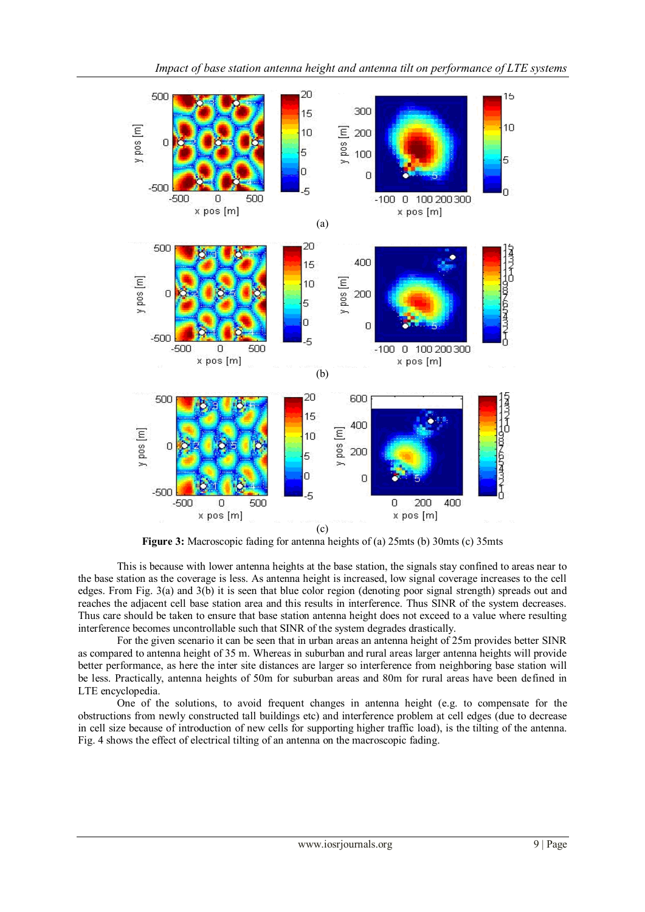

*Impact of base station antenna height and antenna tilt on performance of LTE systems*

**Figure 3:** Macroscopic fading for antenna heights of (a) 25mts (b) 30mts (c) 35mts

This is because with lower antenna heights at the base station, the signals stay confined to areas near to the base station as the coverage is less. As antenna height is increased, low signal coverage increases to the cell edges. From Fig. 3(a) and 3(b) it is seen that blue color region (denoting poor signal strength) spreads out and reaches the adjacent cell base station area and this results in interference. Thus SINR of the system decreases. Thus care should be taken to ensure that base station antenna height does not exceed to a value where resulting interference becomes uncontrollable such that SINR of the system degrades drastically.

For the given scenario it can be seen that in urban areas an antenna height of 25m provides better SINR as compared to antenna height of 35 m. Whereas in suburban and rural areas larger antenna heights will provide better performance, as here the inter site distances are larger so interference from neighboring base station will be less. Practically, antenna heights of 50m for suburban areas and 80m for rural areas have been defined in LTE encyclopedia.

One of the solutions, to avoid frequent changes in antenna height (e.g. to compensate for the obstructions from newly constructed tall buildings etc) and interference problem at cell edges (due to decrease in cell size because of introduction of new cells for supporting higher traffic load), is the tilting of the antenna. Fig. 4 shows the effect of electrical tilting of an antenna on the macroscopic fading.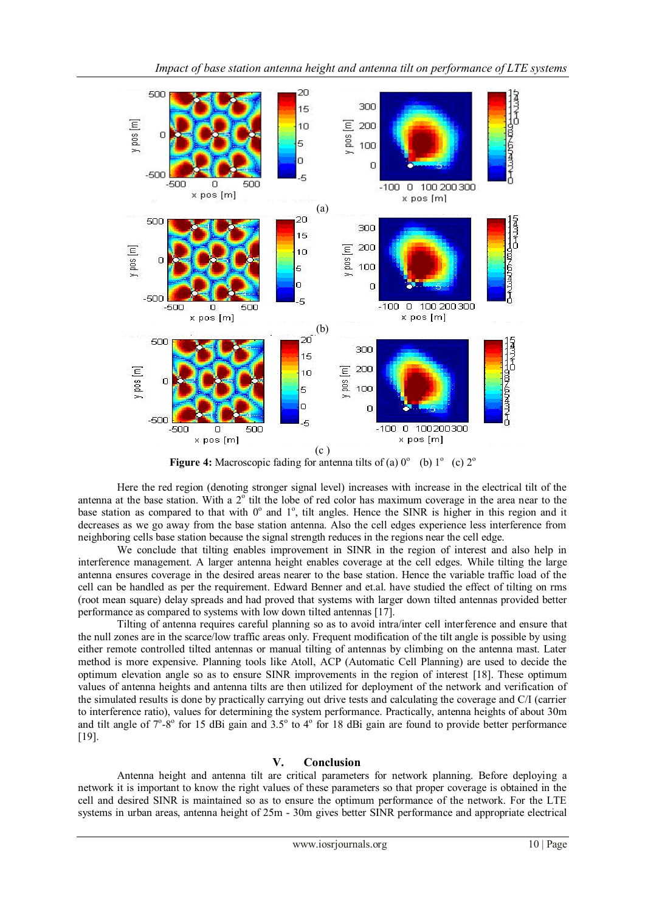

*Impact of base station antenna height and antenna tilt on performance of LTE systems*

**Figure 4:** Macroscopic fading for antenna tilts of (a)  $0^{\circ}$  (b)  $1^{\circ}$  (c)  $2^{\circ}$ 

Here the red region (denoting stronger signal level) increases with increase in the electrical tilt of the antenna at the base station. With a  $2^{\circ}$  tilt the lobe of red color has maximum coverage in the area near to the base station as compared to that with  $0^{\circ}$  and  $1^{\circ}$ , tilt angles. Hence the SINR is higher in this region and it decreases as we go away from the base station antenna. Also the cell edges experience less interference from neighboring cells base station because the signal strength reduces in the regions near the cell edge.

We conclude that tilting enables improvement in SINR in the region of interest and also help in interference management. A larger antenna height enables coverage at the cell edges. While tilting the large antenna ensures coverage in the desired areas nearer to the base station. Hence the variable traffic load of the cell can be handled as per the requirement. Edward Benner and et.al. have studied the effect of tilting on rms (root mean square) delay spreads and had proved that systems with larger down tilted antennas provided better performance as compared to systems with low down tilted antennas [17].

Tilting of antenna requires careful planning so as to avoid intra/inter cell interference and ensure that the null zones are in the scarce/low traffic areas only. Frequent modification of the tilt angle is possible by using either remote controlled tilted antennas or manual tilting of antennas by climbing on the antenna mast. Later method is more expensive. Planning tools like Atoll, ACP (Automatic Cell Planning) are used to decide the optimum elevation angle so as to ensure SINR improvements in the region of interest [18]. These optimum values of antenna heights and antenna tilts are then utilized for deployment of the network and verification of the simulated results is done by practically carrying out drive tests and calculating the coverage and C/I (carrier to interference ratio), values for determining the system performance. Practically, antenna heights of about 30m and tilt angle of  $7^\circ$ -8° for 15 dBi gain and 3.5° to 4° for 18 dBi gain are found to provide better performance [19].

## **V. Conclusion**

Antenna height and antenna tilt are critical parameters for network planning. Before deploying a network it is important to know the right values of these parameters so that proper coverage is obtained in the cell and desired SINR is maintained so as to ensure the optimum performance of the network. For the LTE systems in urban areas, antenna height of 25m - 30m gives better SINR performance and appropriate electrical